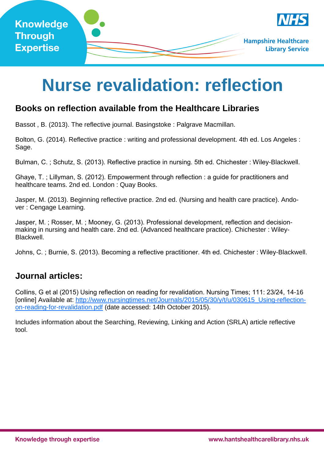

# **Nurse revalidation: reflection**

# **Books on reflection available from the Healthcare Libraries**

Bassot , B. (2013). The reflective journal. Basingstoke : Palgrave Macmillan.

Bolton, G. (2014). Reflective practice : writing and professional development. 4th ed. Los Angeles : Sage.

Bulman, C. ; Schutz, S. (2013). Reflective practice in nursing. 5th ed. Chichester : Wiley-Blackwell.

Ghaye, T. ; Lillyman, S. (2012). Empowerment through reflection : a guide for practitioners and healthcare teams. 2nd ed. London : Quay Books.

Jasper, M. (2013). Beginning reflective practice. 2nd ed. (Nursing and health care practice). Andover : Cengage Learning.

Jasper, M. ; Rosser, M. ; Mooney, G. (2013). Professional development, reflection and decisionmaking in nursing and health care. 2nd ed. (Advanced healthcare practice). Chichester : Wiley-Blackwell.

Johns, C. ; Burnie, S. (2013). Becoming a reflective practitioner. 4th ed. Chichester : Wiley-Blackwell.

# **Journal articles:**

Collins, G et al (2015) Using reflection on reading for revalidation. Nursing Times; 111: 23/24, 14-16 [online] Available at: http://www.nursingtimes.net/Journals/2015/05/30/y/t/u/030615\_Using-reflectionon-reading-for-revalidation.pdf (date accessed: 14th October 2015).

Includes information about the Searching, Reviewing, Linking and Action (SRLA) article reflective tool.